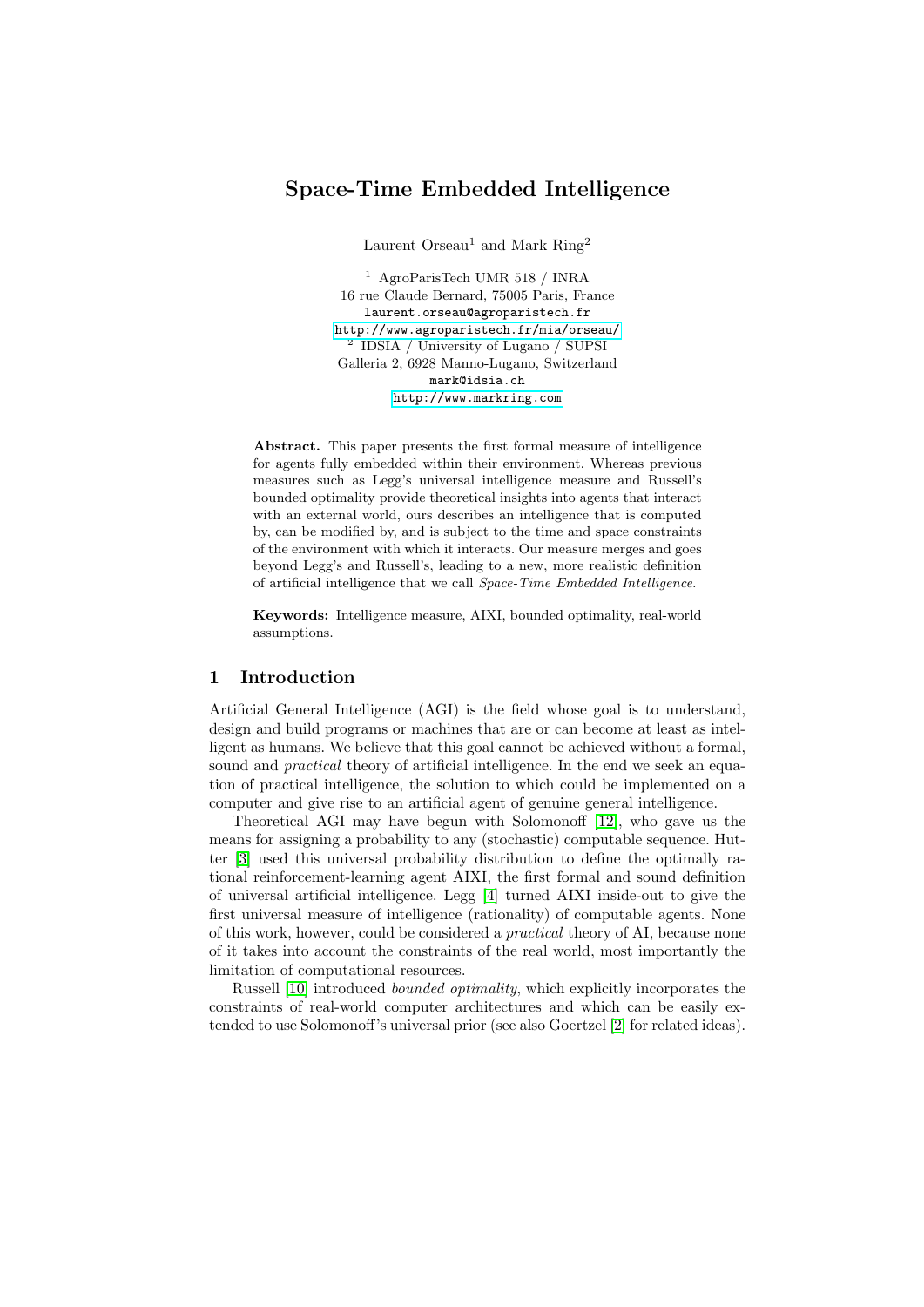# Space-Time Embedded Intelligence

Laurent Orseau<sup>1</sup> and Mark  $Ring<sup>2</sup>$ 

<sup>1</sup> AgroParisTech UMR 518 / INRA 16 rue Claude Bernard, 75005 Paris, France laurent.orseau@agroparistech.fr <http://www.agroparistech.fr/mia/orseau/> 2 IDSIA / University of Lugano / SUPSI Galleria 2, 6928 Manno-Lugano, Switzerland mark@idsia.ch <http://www.markring.com>

Abstract. This paper presents the first formal measure of intelligence for agents fully embedded within their environment. Whereas previous measures such as Legg's universal intelligence measure and Russell's bounded optimality provide theoretical insights into agents that interact with an external world, ours describes an intelligence that is computed by, can be modified by, and is subject to the time and space constraints of the environment with which it interacts. Our measure merges and goes beyond Legg's and Russell's, leading to a new, more realistic definition of artificial intelligence that we call Space-Time Embedded Intelligence.

Keywords: Intelligence measure, AIXI, bounded optimality, real-world assumptions.

## 1 Introduction

Artificial General Intelligence (AGI) is the field whose goal is to understand, design and build programs or machines that are or can become at least as intelligent as humans. We believe that this goal cannot be achieved without a formal, sound and *practical* theory of artificial intelligence. In the end we seek an equation of practical intelligence, the solution to which could be implemented on a computer and give rise to an artificial agent of genuine general intelligence.

Theoretical AGI may have begun with Solomonoff [\[12\]](#page-9-0), who gave us the means for assigning a probability to any (stochastic) computable sequence. Hutter [\[3\]](#page-9-1) used this universal probability distribution to define the optimally rational reinforcement-learning agent AIXI, the first formal and sound definition of universal artificial intelligence. Legg [\[4\]](#page-9-2) turned AIXI inside-out to give the first universal measure of intelligence (rationality) of computable agents. None of this work, however, could be considered a practical theory of AI, because none of it takes into account the constraints of the real world, most importantly the limitation of computational resources.

Russell [\[10\]](#page-9-3) introduced bounded optimality, which explicitly incorporates the constraints of real-world computer architectures and which can be easily extended to use Solomonoff's universal prior (see also Goertzel [\[2\]](#page-9-4) for related ideas).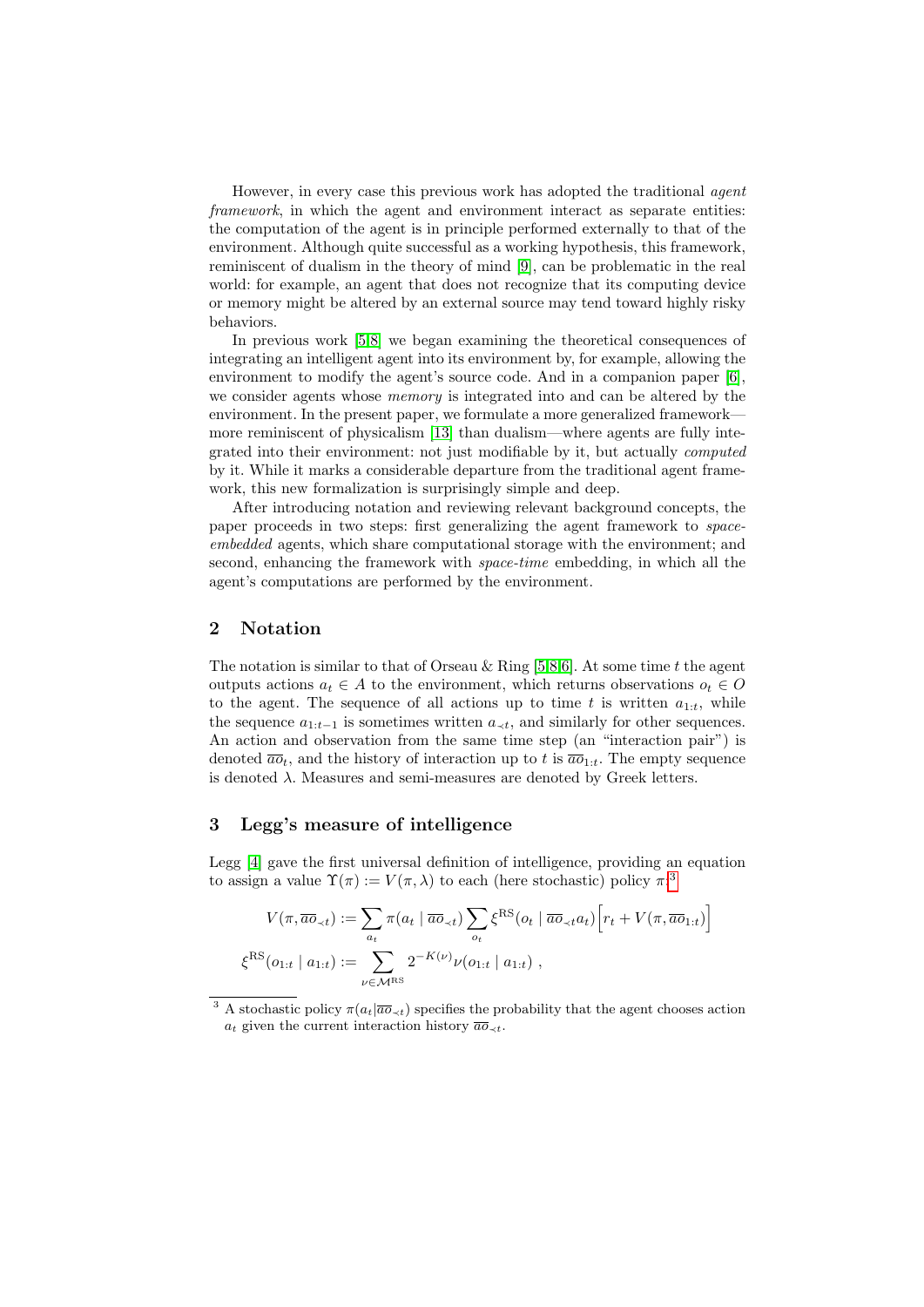However, in every case this previous work has adopted the traditional agent framework, in which the agent and environment interact as separate entities: the computation of the agent is in principle performed externally to that of the environment. Although quite successful as a working hypothesis, this framework, reminiscent of dualism in the theory of mind [\[9\]](#page-9-5), can be problematic in the real world: for example, an agent that does not recognize that its computing device or memory might be altered by an external source may tend toward highly risky behaviors.

In previous work [\[5,](#page-9-6)[8\]](#page-9-7) we began examining the theoretical consequences of integrating an intelligent agent into its environment by, for example, allowing the environment to modify the agent's source code. And in a companion paper [\[6\]](#page-9-8), we consider agents whose *memory* is integrated into and can be altered by the environment. In the present paper, we formulate a more generalized framework more reminiscent of physicalism [\[13\]](#page-9-9) than dualism—where agents are fully integrated into their environment: not just modifiable by it, but actually computed by it. While it marks a considerable departure from the traditional agent framework, this new formalization is surprisingly simple and deep.

After introducing notation and reviewing relevant background concepts, the paper proceeds in two steps: first generalizing the agent framework to spaceembedded agents, which share computational storage with the environment; and second, enhancing the framework with *space-time* embedding, in which all the agent's computations are performed by the environment.

## 2 Notation

The notation is similar to that of Orseau & Ring [\[5](#page-9-6)[,8,](#page-9-7)[6\]](#page-9-8). At some time t the agent outputs actions  $a_t \in A$  to the environment, which returns observations  $o_t \in O$ to the agent. The sequence of all actions up to time t is written  $a_{1:t}$ , while the sequence  $a_{1:t-1}$  is sometimes written  $a_{\prec t}$ , and similarly for other sequences. An action and observation from the same time step (an "interaction pair") is denoted  $\overline{a} \overline{o}_t$ , and the history of interaction up to t is  $\overline{a} \overline{o}_{1:t}$ . The empty sequence is denoted  $\lambda$ . Measures and semi-measures are denoted by Greek letters.

## 3 Legg's measure of intelligence

Legg [\[4\]](#page-9-2) gave the first universal definition of intelligence, providing an equation to assign a value  $\Upsilon(\pi) := V(\pi, \lambda)$  to each (here stochastic) policy  $\pi:$ <sup>[3](#page-1-0)</sup>

$$
V(\pi, \overline{ao}_{\prec t}) := \sum_{a_t} \pi(a_t | \overline{ao}_{\prec t}) \sum_{o_t} \xi^{\text{RS}}(o_t | \overline{ao}_{\prec t} a_t) \Big[ r_t + V(\pi, \overline{ao}_{1:t}) \Big]
$$

$$
\xi^{\text{RS}}(o_{1:t} | a_{1:t}) := \sum_{\nu \in \mathcal{M}^{\text{RS}}} 2^{-K(\nu)} \nu(o_{1:t} | a_{1:t}),
$$

<span id="page-1-0"></span><sup>&</sup>lt;sup>3</sup> A stochastic policy  $\pi(a_t|\overline{ao}_{\prec t})$  specifies the probability that the agent chooses action  $a_t$  given the current interaction history  $\overline{ao}_{\prec t}$ .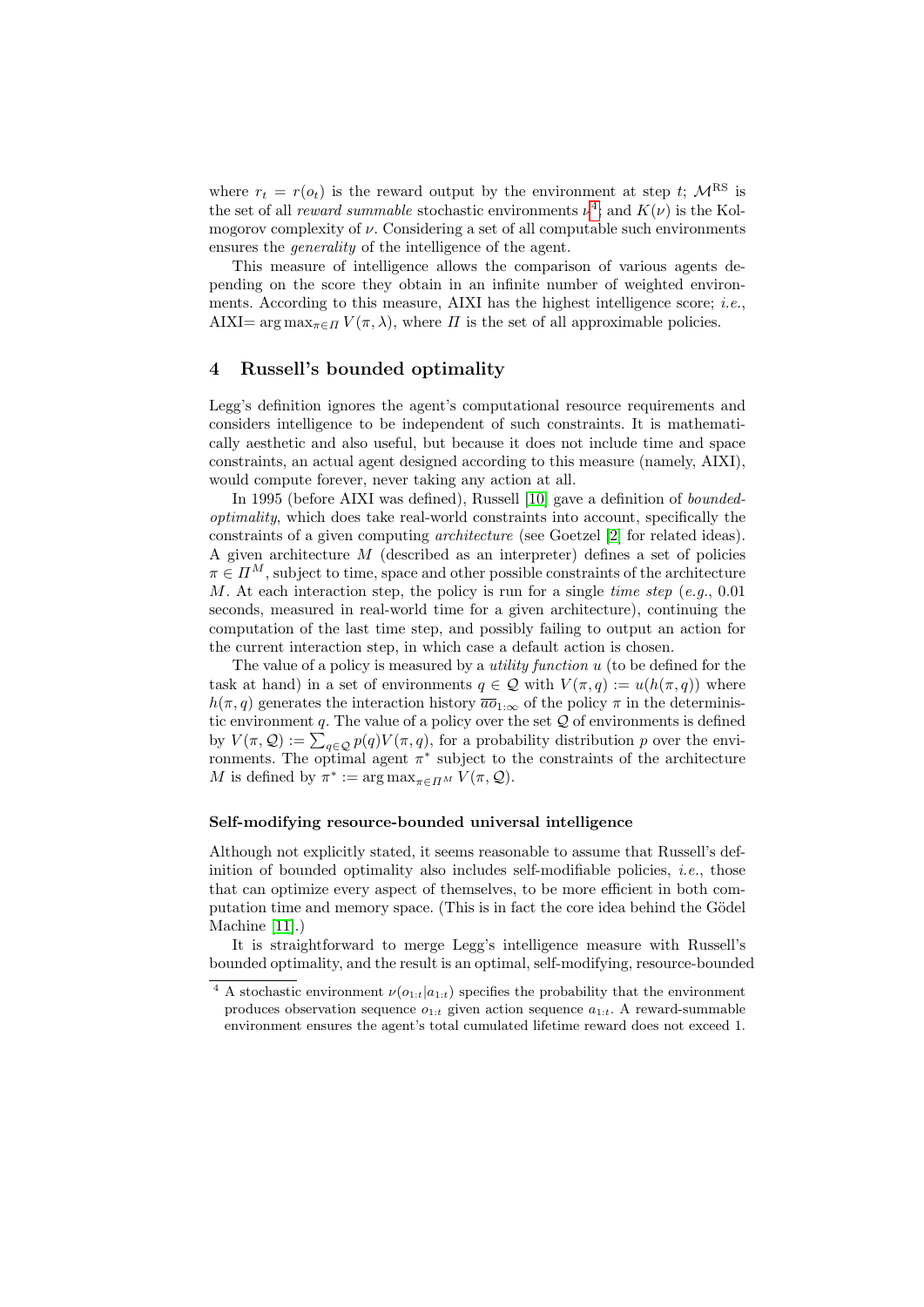where  $r_t = r(o_t)$  is the reward output by the environment at step t;  $\mathcal{M}^{RS}$  is the set of all *reward summable* stochastic environments  $\nu^4$  $\nu^4$ ; and  $K(\nu)$  is the Kolmogorov complexity of  $\nu$ . Considering a set of all computable such environments ensures the *generality* of the intelligence of the agent.

This measure of intelligence allows the comparison of various agents depending on the score they obtain in an infinite number of weighted environments. According to this measure, AIXI has the highest intelligence score; *i.e.*, AIXI=  $\arg \max_{\pi \in \Pi} V(\pi, \lambda)$ , where  $\Pi$  is the set of all approximable policies.

## 4 Russell's bounded optimality

Legg's definition ignores the agent's computational resource requirements and considers intelligence to be independent of such constraints. It is mathematically aesthetic and also useful, but because it does not include time and space constraints, an actual agent designed according to this measure (namely, AIXI), would compute forever, never taking any action at all.

In 1995 (before AIXI was defined), Russell [\[10\]](#page-9-3) gave a definition of boundedoptimality, which does take real-world constraints into account, specifically the constraints of a given computing architecture (see Goetzel [\[2\]](#page-9-4) for related ideas). A given architecture  $M$  (described as an interpreter) defines a set of policies  $\pi \in \Pi^M$ , subject to time, space and other possible constraints of the architecture M. At each interaction step, the policy is run for a single time step (e.g., 0.01) seconds, measured in real-world time for a given architecture), continuing the computation of the last time step, and possibly failing to output an action for the current interaction step, in which case a default action is chosen.

The value of a policy is measured by a *utility function u* (to be defined for the task at hand) in a set of environments  $q \in \mathcal{Q}$  with  $V(\pi, q) := u(h(\pi, q))$  where  $h(\pi, q)$  generates the interaction history  $\overline{ao}_{1:\infty}$  of the policy  $\pi$  in the deterministic environment  $q$ . The value of a policy over the set  $Q$  of environments is defined by  $V(\pi, \mathcal{Q}) := \sum_{q \in \mathcal{Q}} p(q) V(\pi, q)$ , for a probability distribution p over the environments. The optimal agent  $\pi^*$  subject to the constraints of the architecture M is defined by  $\pi^* := \arg \max_{\pi \in \Pi^M} V(\pi, \mathcal{Q}).$ 

#### Self-modifying resource-bounded universal intelligence

Although not explicitly stated, it seems reasonable to assume that Russell's definition of bounded optimality also includes self-modifiable policies, i.e., those that can optimize every aspect of themselves, to be more efficient in both computation time and memory space. (This is in fact the core idea behind the Gödel Machine [\[11\]](#page-9-10).)

It is straightforward to merge Legg's intelligence measure with Russell's bounded optimality, and the result is an optimal, self-modifying, resource-bounded

<span id="page-2-0"></span><sup>&</sup>lt;sup>4</sup> A stochastic environment  $\nu(o_{1:t}|a_{1:t})$  specifies the probability that the environment produces observation sequence  $o_{1:t}$  given action sequence  $a_{1:t}$ . A reward-summable environment ensures the agent's total cumulated lifetime reward does not exceed 1.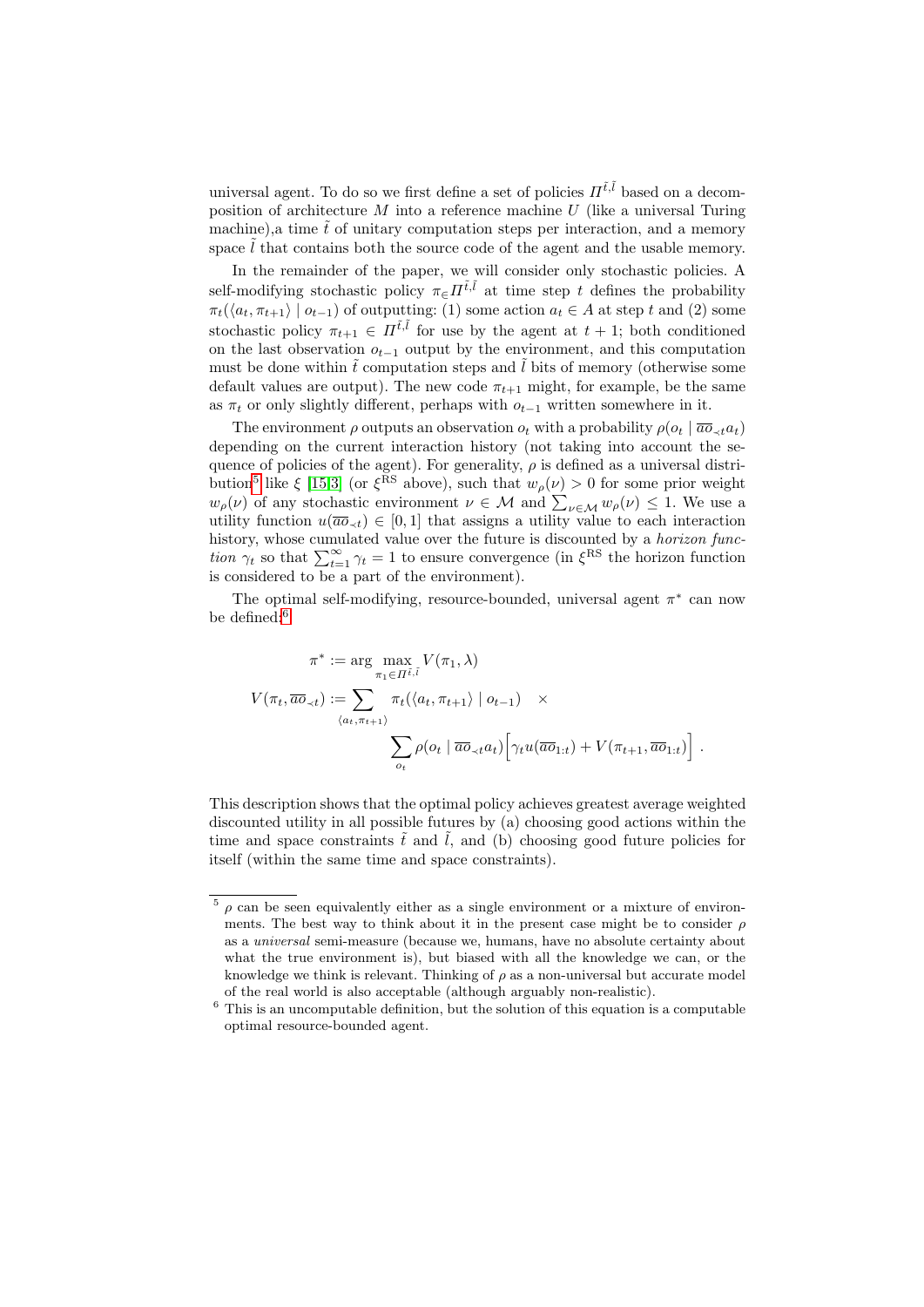universal agent. To do so we first define a set of policies  $\Pi^{\tilde{t}, \tilde{l}}$  based on a decomposition of architecture  $M$  into a reference machine  $U$  (like a universal Turing machine), a time  $\tilde{t}$  of unitary computation steps per interaction, and a memory space  $\hat{l}$  that contains both the source code of the agent and the usable memory.

In the remainder of the paper, we will consider only stochastic policies. A self-modifying stochastic policy  $\pi \in \Pi^{\tilde{t}, \tilde{l}}$  at time step t defines the probability  $\pi_t(\langle a_t, \pi_{t+1}\rangle \mid o_{t-1})$  of outputting: (1) some action  $a_t \in A$  at step t and (2) some stochastic policy  $\pi_{t+1} \in \Pi^{\tilde{t}, \tilde{l}}$  for use by the agent at  $t + 1$ ; both conditioned on the last observation  $o_{t-1}$  output by the environment, and this computation must be done within  $\tilde{t}$  computation steps and  $\tilde{l}$  bits of memory (otherwise some default values are output). The new code  $\pi_{t+1}$  might, for example, be the same as  $\pi_t$  or only slightly different, perhaps with  $o_{t-1}$  written somewhere in it.

The environment  $\rho$  outputs an observation  $o_t$  with a probability  $\rho(o_t | \overline{ao}_{\prec t} a_t)$ depending on the current interaction history (not taking into account the sequence of policies of the agent). For generality,  $\rho$  is defined as a universal distri-bution<sup>[5](#page-3-0)</sup> like  $\xi$  [\[15,](#page-9-11)[3\]](#page-9-1) (or  $\xi^{\text{RS}}$  above), such that  $w_{\rho}(\nu) > 0$  for some prior weight  $w_{\rho}(\nu)$  of any stochastic environment  $\nu \in \mathcal{M}$  and  $\sum_{\nu \in \mathcal{M}} w_{\rho}(\nu) \leq 1$ . We use a utility function  $u(\overline{ao}_{\lt t}) \in [0,1]$  that assigns a utility value to each interaction history, whose cumulated value over the future is discounted by a *horizon func*tion  $\gamma_t$  so that  $\sum_{t=1}^{\infty} \gamma_t = 1$  to ensure convergence (in  $\xi^{RS}$  the horizon function is considered to be a part of the environment).

The optimal self-modifying, resource-bounded, universal agent  $\pi^*$  can now be defined:<sup>[6](#page-3-1)</sup>

$$
\pi^* := \arg \max_{\pi_1 \in \Pi^{\tilde{t}, \tilde{t}}} V(\pi_1, \lambda)
$$
  

$$
V(\pi_t, \overline{ao}_{\prec t}) := \sum_{\langle a_t, \pi_{t+1} \rangle} \pi_t(\langle a_t, \pi_{t+1} \rangle \mid o_{t-1}) \times \sum_{\langle a_t, \pi_{t+1} \rangle} \rho(o_t \mid \overline{ao}_{\prec t} a_t) \Big[ \gamma_t u(\overline{ao}_{1:t}) + V(\pi_{t+1}, \overline{ao}_{1:t}) \Big].
$$

This description shows that the optimal policy achieves greatest average weighted discounted utility in all possible futures by (a) choosing good actions within the time and space constraints  $\tilde{t}$  and  $\tilde{l}$ , and (b) choosing good future policies for itself (within the same time and space constraints).

<span id="page-3-0"></span> $\frac{5}{6}$   $\rho$  can be seen equivalently either as a single environment or a mixture of environments. The best way to think about it in the present case might be to consider  $\rho$ as a universal semi-measure (because we, humans, have no absolute certainty about what the true environment is), but biased with all the knowledge we can, or the knowledge we think is relevant. Thinking of  $\rho$  as a non-universal but accurate model of the real world is also acceptable (although arguably non-realistic).

<span id="page-3-1"></span> $6$  This is an uncomputable definition, but the solution of this equation is a computable optimal resource-bounded agent.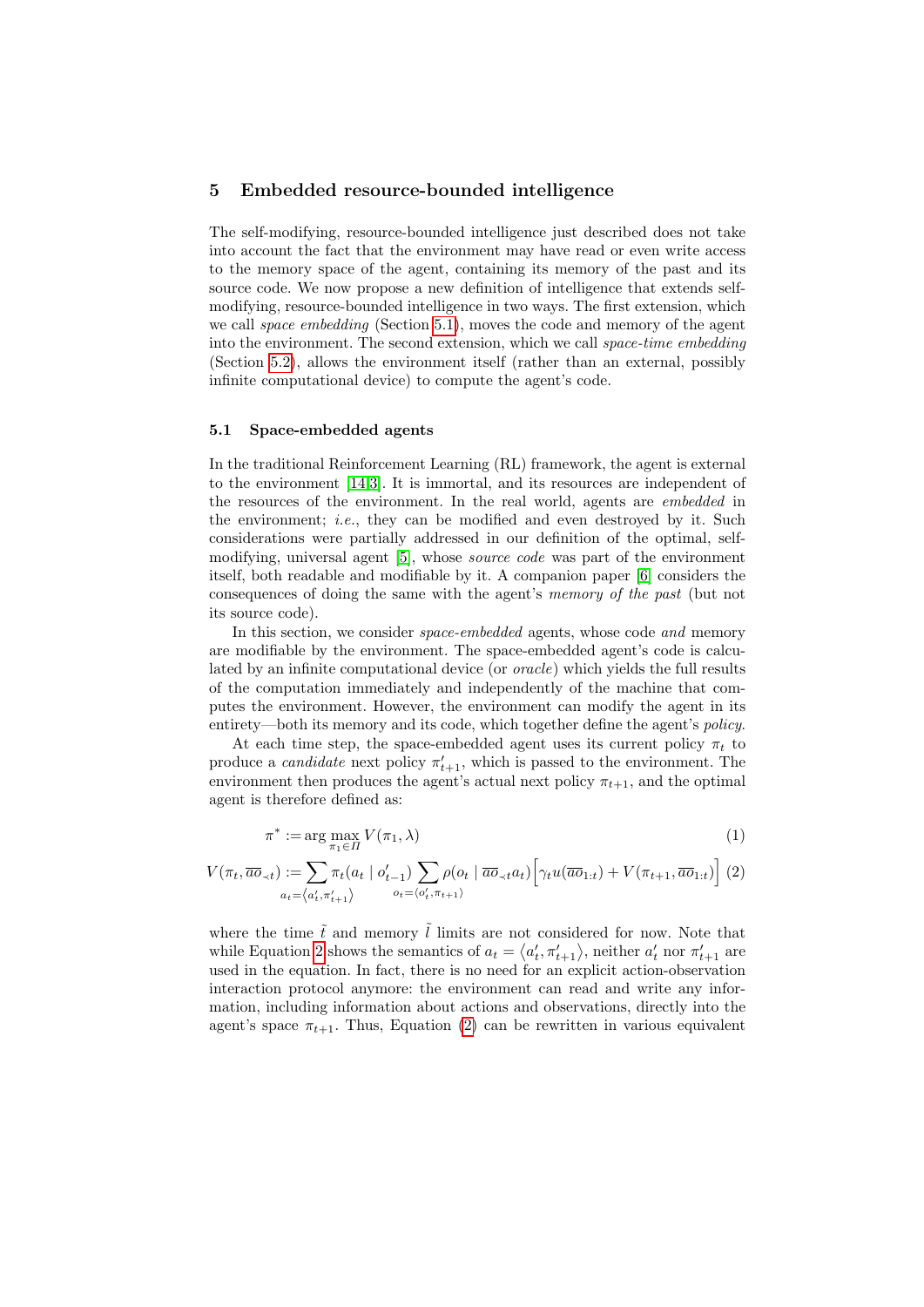## 5 Embedded resource-bounded intelligence

The self-modifying, resource-bounded intelligence just described does not take into account the fact that the environment may have read or even write access to the memory space of the agent, containing its memory of the past and its source code. We now propose a new definition of intelligence that extends selfmodifying, resource-bounded intelligence in two ways. The first extension, which we call space embedding (Section [5.1\)](#page-4-0), moves the code and memory of the agent into the environment. The second extension, which we call space-time embedding (Section [5.2\)](#page-5-0), allows the environment itself (rather than an external, possibly infinite computational device) to compute the agent's code.

#### <span id="page-4-0"></span>5.1 Space-embedded agents

In the traditional Reinforcement Learning (RL) framework, the agent is external to the environment [\[14,](#page-9-12)[3\]](#page-9-1). It is immortal, and its resources are independent of the resources of the environment. In the real world, agents are embedded in the environment; i.e., they can be modified and even destroyed by it. Such considerations were partially addressed in our definition of the optimal, self-modifying, universal agent [\[5\]](#page-9-6), whose *source code* was part of the environment itself, both readable and modifiable by it. A companion paper [\[6\]](#page-9-8) considers the consequences of doing the same with the agent's memory of the past (but not its source code).

In this section, we consider *space-embedded* agents, whose code *and* memory are modifiable by the environment. The space-embedded agent's code is calculated by an infinite computational device (or *oracle*) which yields the full results of the computation immediately and independently of the machine that computes the environment. However, the environment can modify the agent in its entirety—both its memory and its code, which together define the agent's *policy*.

At each time step, the space-embedded agent uses its current policy  $\pi_t$  to produce a *candidate* next policy  $\pi'_{t+1}$ , which is passed to the environment. The environment then produces the agent's actual next policy  $\pi_{t+1}$ , and the optimal agent is therefore defined as:

<span id="page-4-1"></span>
$$
\pi^* := \arg\max_{\pi_1 \in \Pi} V(\pi_1, \lambda) \tag{1}
$$

$$
V(\pi_t, \overline{a\sigma}_{\prec t}) := \sum_{a_t = \langle a'_t, \pi'_{t+1} \rangle} \pi_t(a_t \mid o'_{t-1}) \sum_{o_t = \langle o'_t, \pi_{t+1} \rangle} \rho(o_t \mid \overline{a\sigma}_{\prec t} a_t) \left[ \gamma_t u(\overline{a\sigma}_{1:t}) + V(\pi_{t+1}, \overline{a\sigma}_{1:t}) \right] (2)
$$

where the time  $\tilde{t}$  and memory  $\tilde{l}$  limits are not considered for now. Note that while Equation [2](#page-4-1) shows the semantics of  $a_t = \langle a'_t, \pi'_{t+1} \rangle$ , neither  $a'_t$  nor  $\pi'_{t+1}$  are used in the equation. In fact, there is no need for an explicit action-observation interaction protocol anymore: the environment can read and write any information, including information about actions and observations, directly into the agent's space  $\pi_{t+1}$ . Thus, Equation [\(2\)](#page-4-1) can be rewritten in various equivalent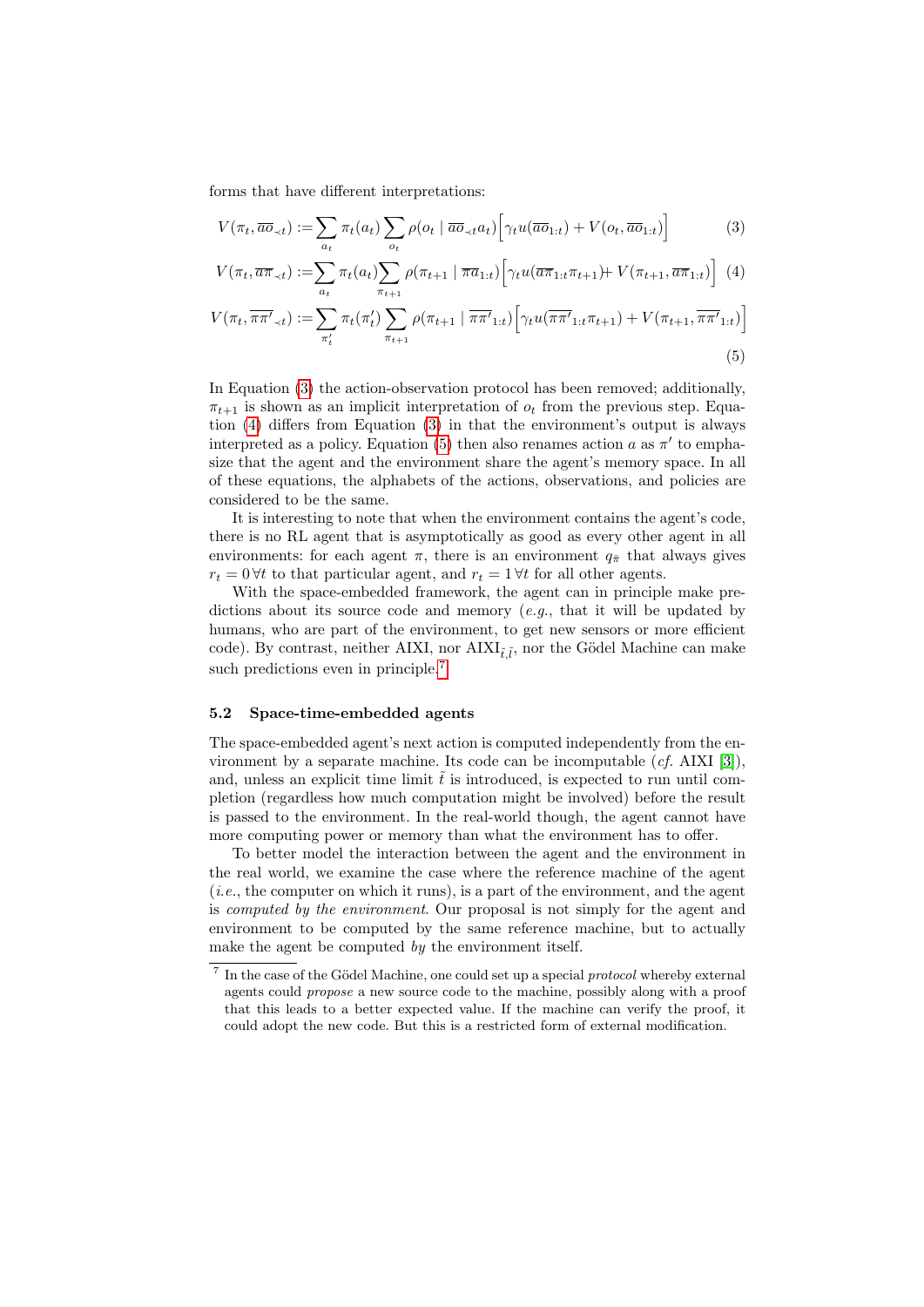forms that have different interpretations:

<span id="page-5-2"></span><span id="page-5-1"></span>
$$
V(\pi_t, \overline{a_0}_{\prec t}) := \sum_{a_t} \pi_t(a_t) \sum_{o_t} \rho(o_t \mid \overline{a_0}_{\prec t} a_t) \Big[ \gamma_t u(\overline{a_0}_{1:t}) + V(o_t, \overline{a_0}_{1:t}) \Big] \tag{3}
$$

$$
V(\pi_t, \overline{a\pi}_{\prec t}) := \sum_{a_t} \pi_t(a_t) \sum_{\pi_{t+1}} \rho(\pi_{t+1} | \overline{\pi a}_{1:t}) \left[ \gamma_t u(\overline{a\pi}_{1:t} \pi_{t+1}) + V(\pi_{t+1}, \overline{a\pi}_{1:t}) \right] (4)
$$

<span id="page-5-3"></span>
$$
V(\pi_t, \overline{\pi \pi'}_{\prec t}) := \sum_{\pi'_t} \pi_t(\pi'_t) \sum_{\pi_{t+1}} \rho(\pi_{t+1} | \overline{\pi \pi'}_{1:t}) \left[ \gamma_t u(\overline{\pi \pi'}_{1:t} \pi_{t+1}) + V(\pi_{t+1}, \overline{\pi \pi'}_{1:t}) \right]
$$
\n
$$
(5)
$$

In Equation [\(3\)](#page-5-1) the action-observation protocol has been removed; additionally,  $\pi_{t+1}$  is shown as an implicit interpretation of  $o_t$  from the previous step. Equation [\(4\)](#page-5-2) differs from Equation [\(3\)](#page-5-1) in that the environment's output is always interpreted as a policy. Equation [\(5\)](#page-5-3) then also renames action a as  $\pi'$  to emphasize that the agent and the environment share the agent's memory space. In all of these equations, the alphabets of the actions, observations, and policies are considered to be the same.

It is interesting to note that when the environment contains the agent's code, there is no RL agent that is asymptotically as good as every other agent in all environments: for each agent  $\pi$ , there is an environment  $q_{\pi}$  that always gives  $r_t = 0 \forall t$  to that particular agent, and  $r_t = 1 \forall t$  for all other agents.

With the space-embedded framework, the agent can in principle make predictions about its source code and memory  $(e,q)$ , that it will be updated by humans, who are part of the environment, to get new sensors or more efficient code). By contrast, neither AIXI, nor  $\text{AIXI}_{\tilde{t}, \tilde{l}},$  nor the Gödel Machine can make such predictions even in principle.<sup>[7](#page-5-4)</sup>

#### <span id="page-5-0"></span>5.2 Space-time-embedded agents

The space-embedded agent's next action is computed independently from the environment by a separate machine. Its code can be incomputable  $(cf. AIXI [3])$  $(cf. AIXI [3])$  $(cf. AIXI [3])$ , and, unless an explicit time limit  $\tilde{t}$  is introduced, is expected to run until completion (regardless how much computation might be involved) before the result is passed to the environment. In the real-world though, the agent cannot have more computing power or memory than what the environment has to offer.

To better model the interaction between the agent and the environment in the real world, we examine the case where the reference machine of the agent  $(i.e., the computer on which it runs), is a part of the environment, and the agent$ is computed by the environment. Our proposal is not simply for the agent and environment to be computed by the same reference machine, but to actually make the agent be computed by the environment itself.

<span id="page-5-4"></span> $7$  In the case of the Gödel Machine, one could set up a special *protocol* whereby external agents could propose a new source code to the machine, possibly along with a proof that this leads to a better expected value. If the machine can verify the proof, it could adopt the new code. But this is a restricted form of external modification.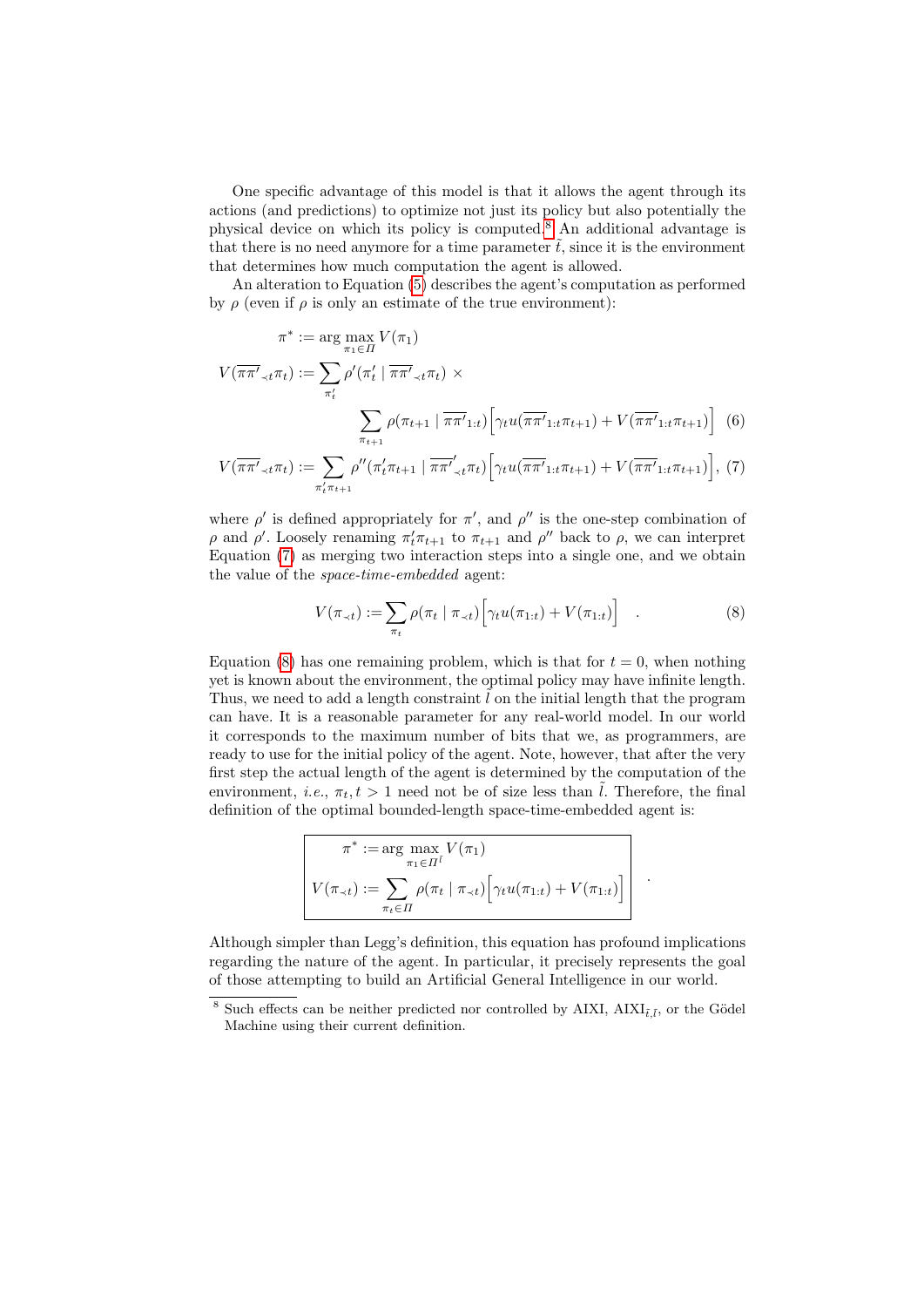One specific advantage of this model is that it allows the agent through its actions (and predictions) to optimize not just its policy but also potentially the physical device on which its policy is computed.[8](#page-6-0) An additional advantage is that there is no need anymore for a time parameter  $\tilde{t}$ , since it is the environment that determines how much computation the agent is allowed.

An alteration to Equation [\(5\)](#page-5-3) describes the agent's computation as performed by  $\rho$  (even if  $\rho$  is only an estimate of the true environment):

$$
\pi^* := \arg \max_{\pi_1 \in \Pi} V(\pi_1)
$$
  

$$
V(\overline{\pi \pi'}_{\prec t} \pi_t) := \sum_{\pi'_t} \rho'(\pi'_t \mid \overline{\pi \pi'}_{\prec t} \pi_t) \times \sum_{\pi_{t+1}} \rho(\pi_{t+1} \mid \overline{\pi \pi'}_{1:t}) \left[ \gamma_t u(\overline{\pi \pi'}_{1:t} \pi_{t+1}) + V(\overline{\pi \pi'}_{1:t} \pi_{t+1}) \right] \tag{6}
$$

$$
V(\overline{\pi\pi'}_{\prec t}\pi_t) := \sum_{\pi'_t\pi_{t+1}} \rho''(\pi'_t\pi_{t+1} | \overline{\pi\pi'}_{\prec t}\pi_t) \Big[\gamma_t u(\overline{\pi\pi'}_{1:t}\pi_{t+1}) + V(\overline{\pi\pi'}_{1:t}\pi_{t+1})\Big], (7)
$$

where  $\rho'$  is defined appropriately for  $\pi'$ , and  $\rho''$  is the one-step combination of  $ρ$  and  $ρ'$ . Loosely renaming  $π'$ <sub>t</sub> $π$ <sub>t+1</sub> to  $π$ <sub>t+1</sub> and  $ρ''$  back to  $ρ$ , we can interpret Equation [\(7\)](#page-6-1) as merging two interaction steps into a single one, and we obtain the value of the space-time-embedded agent:

<span id="page-6-2"></span><span id="page-6-1"></span>
$$
V(\pi_{\prec t}) := \sum_{\pi_t} \rho(\pi_t \mid \pi_{\prec t}) \Big[ \gamma_t u(\pi_{1:t}) + V(\pi_{1:t}) \Big] \quad . \tag{8}
$$

Equation [\(8\)](#page-6-2) has one remaining problem, which is that for  $t = 0$ , when nothing yet is known about the environment, the optimal policy may have infinite length. Thus, we need to add a length constraint  $l$  on the initial length that the program can have. It is a reasonable parameter for any real-world model. In our world it corresponds to the maximum number of bits that we, as programmers, are ready to use for the initial policy of the agent. Note, however, that after the very first step the actual length of the agent is determined by the computation of the environment, *i.e.*,  $\pi_t, t > 1$  need not be of size less than  $\tilde{l}$ . Therefore, the final definition of the optimal bounded-length space-time-embedded agent is:

$$
\pi^* := \arg \max_{\pi_1 \in \Pi^{\bar{t}}} V(\pi_1)
$$

$$
V(\pi_{\prec t}) := \sum_{\pi_t \in \Pi} \rho(\pi_t | \pi_{\prec t}) \Big[\gamma_t u(\pi_{1:t}) + V(\pi_{1:t})\Big]
$$

Although simpler than Legg's definition, this equation has profound implications regarding the nature of the agent. In particular, it precisely represents the goal of those attempting to build an Artificial General Intelligence in our world.

<span id="page-6-0"></span><sup>&</sup>lt;sup>8</sup> Such effects can be neither predicted nor controlled by AIXI,  $\text{AIXI}_{\tilde{t}, \tilde{l}}$ , or the Gödel Machine using their current definition.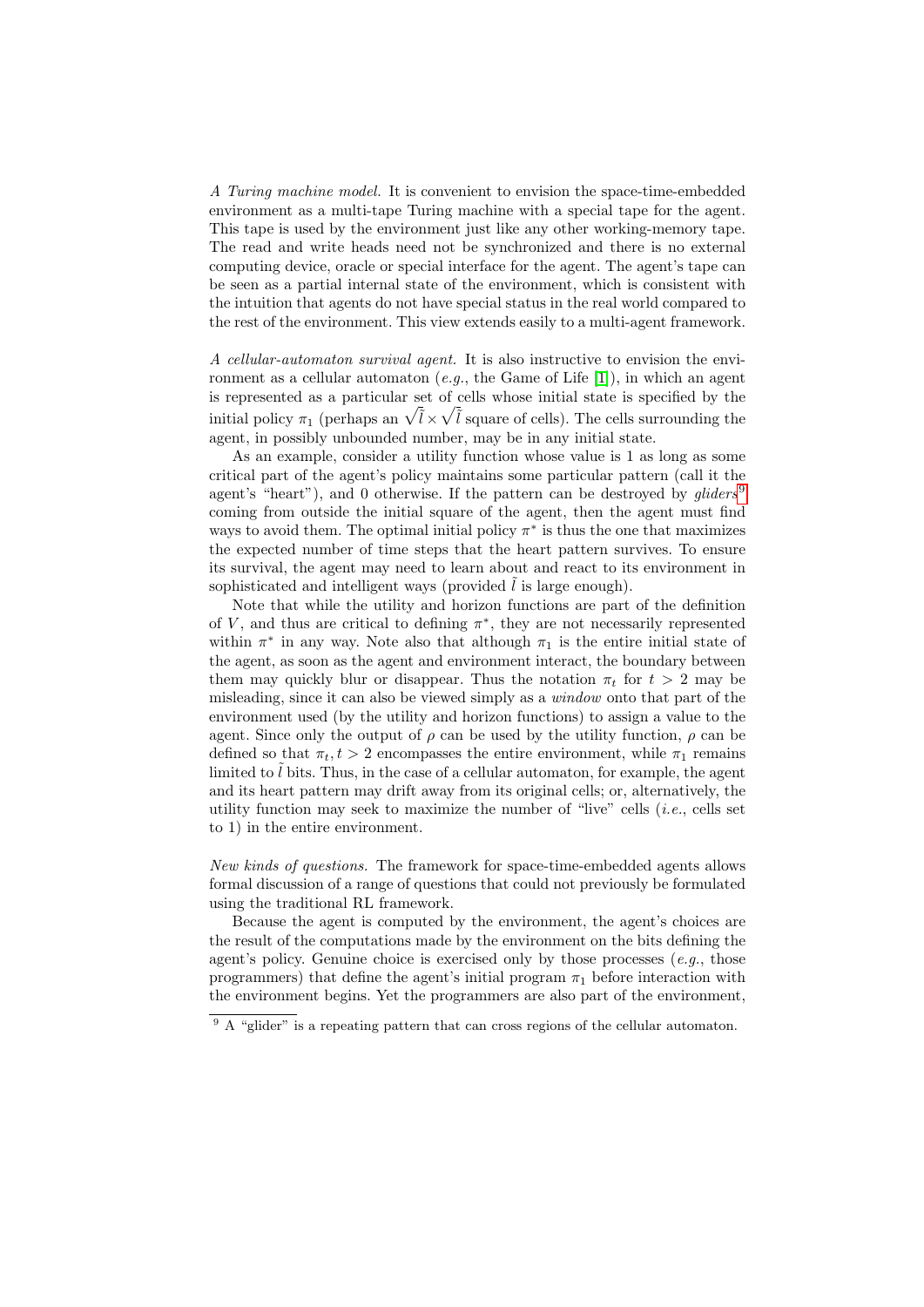A Turing machine model. It is convenient to envision the space-time-embedded environment as a multi-tape Turing machine with a special tape for the agent. This tape is used by the environment just like any other working-memory tape. The read and write heads need not be synchronized and there is no external computing device, oracle or special interface for the agent. The agent's tape can be seen as a partial internal state of the environment, which is consistent with the intuition that agents do not have special status in the real world compared to the rest of the environment. This view extends easily to a multi-agent framework.

A cellular-automaton survival agent. It is also instructive to envision the envi-ronment as a cellular automaton (e.g., the Game of Life [\[1\]](#page-9-13)), in which an agent is represented as a particular set of cells whose initial state is specified by the initial policy  $\pi_1$  (perhaps an  $\sqrt{\tilde{l}} \times \sqrt{\tilde{l}}$  square of cells). The cells surrounding the agent, in possibly unbounded number, may be in any initial state.

As an example, consider a utility function whose value is 1 as long as some critical part of the agent's policy maintains some particular pattern (call it the agent's "heart"), and 0 otherwise. If the pattern can be destroyed by  $gliders<sup>9</sup>$  $gliders<sup>9</sup>$  $gliders<sup>9</sup>$ coming from outside the initial square of the agent, then the agent must find ways to avoid them. The optimal initial policy  $\pi^*$  is thus the one that maximizes the expected number of time steps that the heart pattern survives. To ensure its survival, the agent may need to learn about and react to its environment in sophisticated and intelligent ways (provided  $l$  is large enough).

Note that while the utility and horizon functions are part of the definition of V, and thus are critical to defining  $\pi^*$ , they are not necessarily represented within  $\pi^*$  in any way. Note also that although  $\pi_1$  is the entire initial state of the agent, as soon as the agent and environment interact, the boundary between them may quickly blur or disappear. Thus the notation  $\pi_t$  for  $t > 2$  may be misleading, since it can also be viewed simply as a window onto that part of the environment used (by the utility and horizon functions) to assign a value to the agent. Since only the output of  $\rho$  can be used by the utility function,  $\rho$  can be defined so that  $\pi_t, t > 2$  encompasses the entire environment, while  $\pi_1$  remains limited to  $\tilde{l}$  bits. Thus, in the case of a cellular automaton, for example, the agent and its heart pattern may drift away from its original cells; or, alternatively, the utility function may seek to maximize the number of "live" cells  $(i.e.,$  cells set to 1) in the entire environment.

New kinds of questions. The framework for space-time-embedded agents allows formal discussion of a range of questions that could not previously be formulated using the traditional RL framework.

Because the agent is computed by the environment, the agent's choices are the result of the computations made by the environment on the bits defining the agent's policy. Genuine choice is exercised only by those processes  $(e.g.,$  those programmers) that define the agent's initial program  $\pi_1$  before interaction with the environment begins. Yet the programmers are also part of the environment,

<span id="page-7-0"></span><sup>&</sup>lt;sup>9</sup> A "glider" is a repeating pattern that can cross regions of the cellular automaton.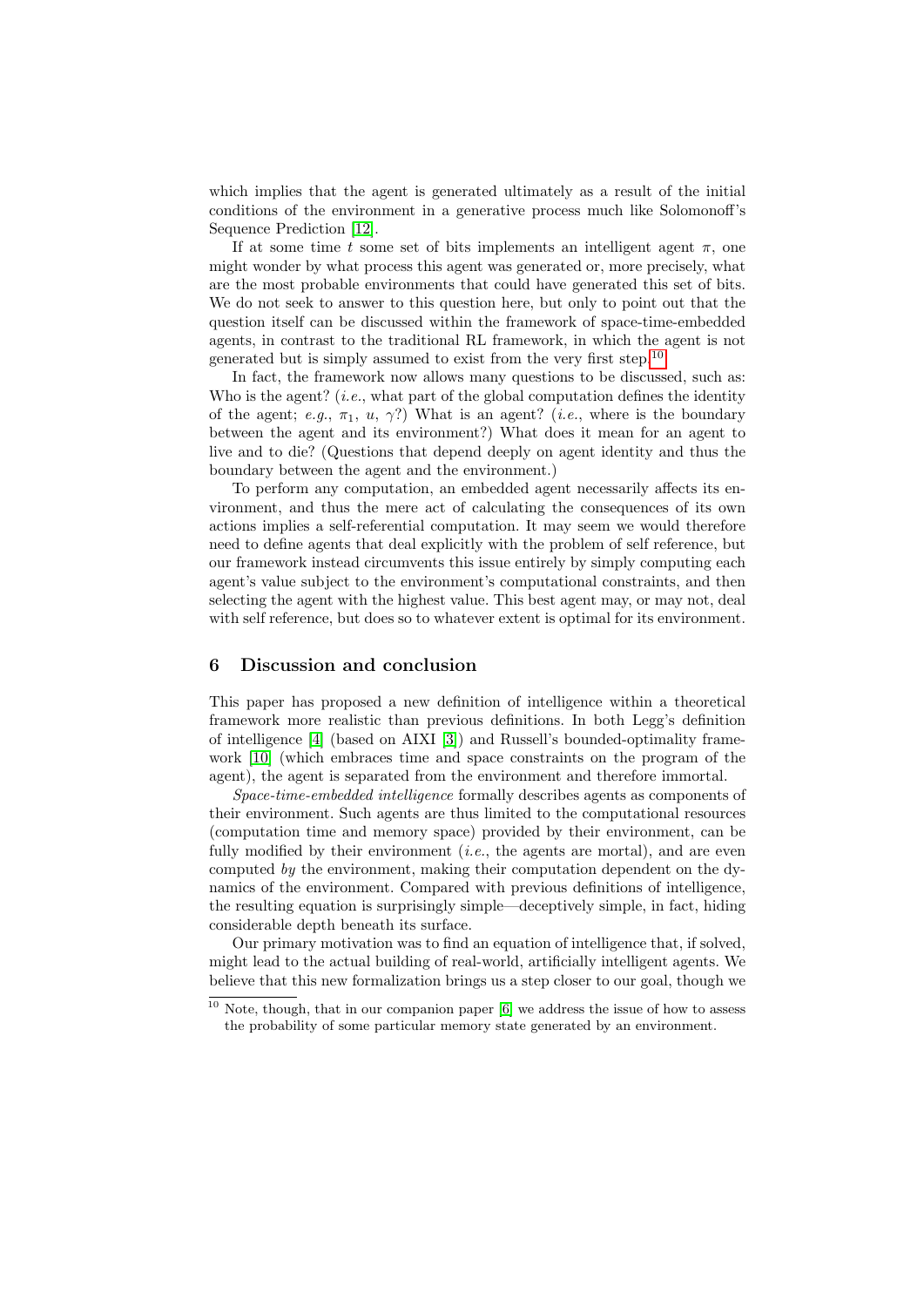which implies that the agent is generated ultimately as a result of the initial conditions of the environment in a generative process much like Solomonoff's Sequence Prediction [\[12\]](#page-9-0).

If at some time t some set of bits implements an intelligent agent  $\pi$ , one might wonder by what process this agent was generated or, more precisely, what are the most probable environments that could have generated this set of bits. We do not seek to answer to this question here, but only to point out that the question itself can be discussed within the framework of space-time-embedded agents, in contrast to the traditional RL framework, in which the agent is not generated but is simply assumed to exist from the very first step.<sup>[10](#page-8-0)</sup>

In fact, the framework now allows many questions to be discussed, such as: Who is the agent? (*i.e.*, what part of the global computation defines the identity of the agent; e.g.,  $\pi_1$ , u,  $\gamma$ ?) What is an agent? (*i.e.*, where is the boundary between the agent and its environment?) What does it mean for an agent to live and to die? (Questions that depend deeply on agent identity and thus the boundary between the agent and the environment.)

To perform any computation, an embedded agent necessarily affects its environment, and thus the mere act of calculating the consequences of its own actions implies a self-referential computation. It may seem we would therefore need to define agents that deal explicitly with the problem of self reference, but our framework instead circumvents this issue entirely by simply computing each agent's value subject to the environment's computational constraints, and then selecting the agent with the highest value. This best agent may, or may not, deal with self reference, but does so to whatever extent is optimal for its environment.

#### 6 Discussion and conclusion

This paper has proposed a new definition of intelligence within a theoretical framework more realistic than previous definitions. In both Legg's definition of intelligence [\[4\]](#page-9-2) (based on AIXI [\[3\]](#page-9-1)) and Russell's bounded-optimality framework [\[10\]](#page-9-3) (which embraces time and space constraints on the program of the agent), the agent is separated from the environment and therefore immortal.

Space-time-embedded intelligence formally describes agents as components of their environment. Such agents are thus limited to the computational resources (computation time and memory space) provided by their environment, can be fully modified by their environment  $(i.e.,$  the agents are mortal), and are even computed by the environment, making their computation dependent on the dynamics of the environment. Compared with previous definitions of intelligence, the resulting equation is surprisingly simple—deceptively simple, in fact, hiding considerable depth beneath its surface.

Our primary motivation was to find an equation of intelligence that, if solved, might lead to the actual building of real-world, artificially intelligent agents. We believe that this new formalization brings us a step closer to our goal, though we

<span id="page-8-0"></span> $10$  Note, though, that in our companion paper [\[6\]](#page-9-8) we address the issue of how to assess the probability of some particular memory state generated by an environment.